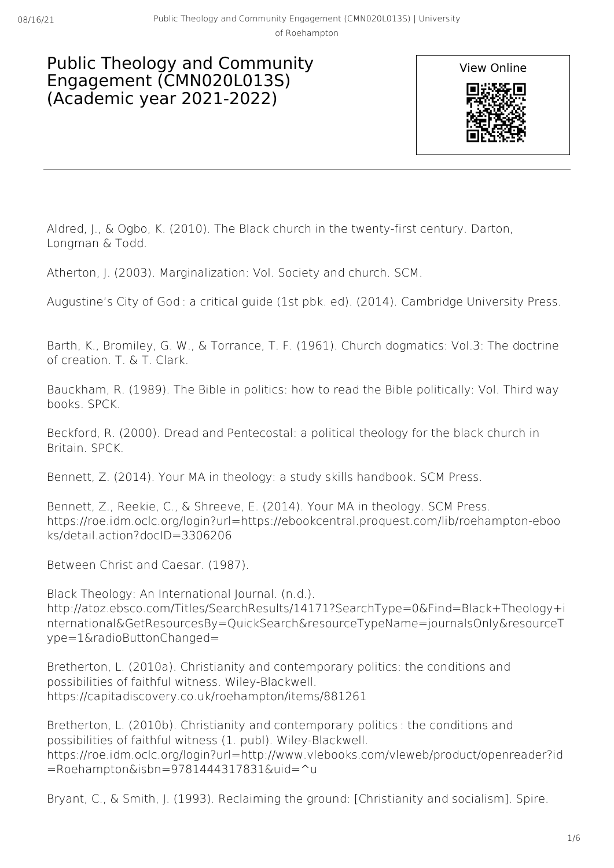## Public Theology and Community Engagement (CMN020L013S) (Academic year 2021-2022)



Aldred, J., & Ogbo, K. (2010). The Black church in the twenty-first century. Darton, Longman & Todd.

Atherton, J. (2003). Marginalization: Vol. Society and church. SCM.

Augustine's City of God : a critical guide (1st pbk. ed). (2014). Cambridge University Press.

Barth, K., Bromiley, G. W., & Torrance, T. F. (1961). Church dogmatics: Vol.3: The doctrine of creation. T. & T. Clark.

Bauckham, R. (1989). The Bible in politics: how to read the Bible politically: Vol. Third way books. SPCK.

Beckford, R. (2000). Dread and Pentecostal: a political theology for the black church in Britain. SPCK.

Bennett, Z. (2014). Your MA in theology: a study skills handbook. SCM Press.

Bennett, Z., Reekie, C., & Shreeve, E. (2014). Your MA in theology. SCM Press. https://roe.idm.oclc.org/login?url=https://ebookcentral.proquest.com/lib/roehampton-eboo ks/detail.action?docID=3306206

Between Christ and Caesar. (1987).

Black Theology: An International Journal. (n.d.). http://atoz.ebsco.com/Titles/SearchResults/14171?SearchType=0&Find=Black+Theology+i nternational&GetResourcesBy=QuickSearch&resourceTypeName=journalsOnly&resourceT ype=1&radioButtonChanged=

Bretherton, L. (2010a). Christianity and contemporary politics: the conditions and possibilities of faithful witness. Wiley-Blackwell. https://capitadiscovery.co.uk/roehampton/items/881261

Bretherton, L. (2010b). Christianity and contemporary politics : the conditions and possibilities of faithful witness (1. publ). Wiley-Blackwell. https://roe.idm.oclc.org/login?url=http://www.vlebooks.com/vleweb/product/openreader?id  $=$ Roehampton&isbn=9781444317831&uid= $\textdegree$ u

Bryant, C., & Smith, J. (1993). Reclaiming the ground: [Christianity and socialism]. Spire.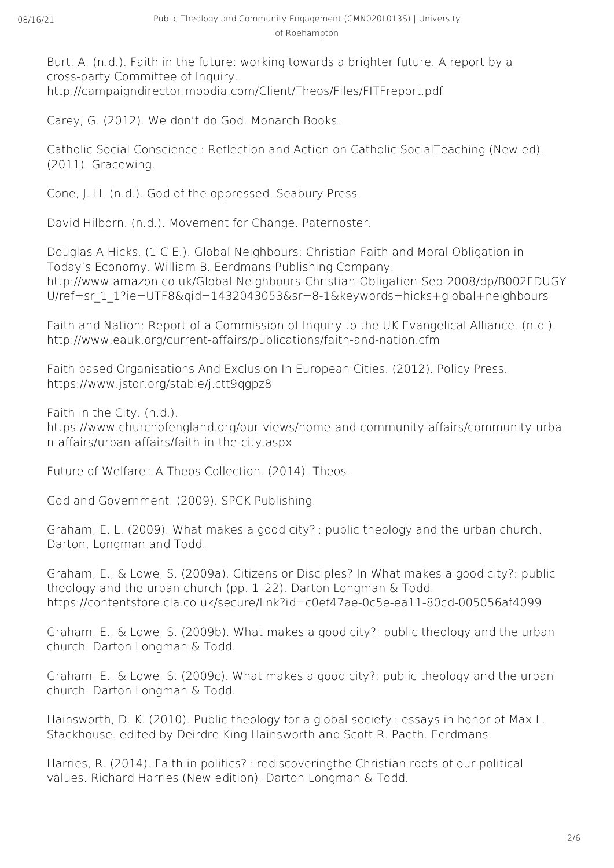Burt, A. (n.d.). Faith in the future: working towards a brighter future. A report by a cross-party Committee of Inquiry. http://campaigndirector.moodia.com/Client/Theos/Files/FITFreport.pdf

Carey, G. (2012). We don't do God. Monarch Books.

Catholic Social Conscience : Reflection and Action on Catholic SocialTeaching (New ed). (2011). Gracewing.

Cone, J. H. (n.d.). God of the oppressed. Seabury Press.

David Hilborn. (n.d.). Movement for Change. Paternoster.

Douglas A Hicks. (1 C.E.). Global Neighbours: Christian Faith and Moral Obligation in Today's Economy. William B. Eerdmans Publishing Company. http://www.amazon.co.uk/Global-Neighbours-Christian-Obligation-Sep-2008/dp/B002FDUGY U/ref=sr\_1\_1?ie=UTF8&qid=1432043053&sr=8-1&keywords=hicks+global+neighbours

Faith and Nation: Report of a Commission of Inquiry to the UK Evangelical Alliance. (n.d.). http://www.eauk.org/current-affairs/publications/faith-and-nation.cfm

Faith based Organisations And Exclusion In European Cities. (2012). Policy Press. https://www.jstor.org/stable/j.ctt9qgpz8

Faith in the City. (n.d.). https://www.churchofengland.org/our-views/home-and-community-affairs/community-urba n-affairs/urban-affairs/faith-in-the-city.aspx

Future of Welfare : A Theos Collection. (2014). Theos.

God and Government. (2009). SPCK Publishing.

Graham, E. L. (2009). What makes a good city? : public theology and the urban church. Darton, Longman and Todd.

Graham, E., & Lowe, S. (2009a). Citizens or Disciples? In What makes a good city?: public theology and the urban church (pp. 1–22). Darton Longman & Todd. https://contentstore.cla.co.uk/secure/link?id=c0ef47ae-0c5e-ea11-80cd-005056af4099

Graham, E., & Lowe, S. (2009b). What makes a good city?: public theology and the urban church. Darton Longman & Todd.

Graham, E., & Lowe, S. (2009c). What makes a good city?: public theology and the urban church. Darton Longman & Todd.

Hainsworth, D. K. (2010). Public theology for a global society : essays in honor of Max L. Stackhouse. edited by Deirdre King Hainsworth and Scott R. Paeth. Eerdmans.

Harries, R. (2014). Faith in politics? : rediscoveringthe Christian roots of our political values. Richard Harries (New edition). Darton Longman & Todd.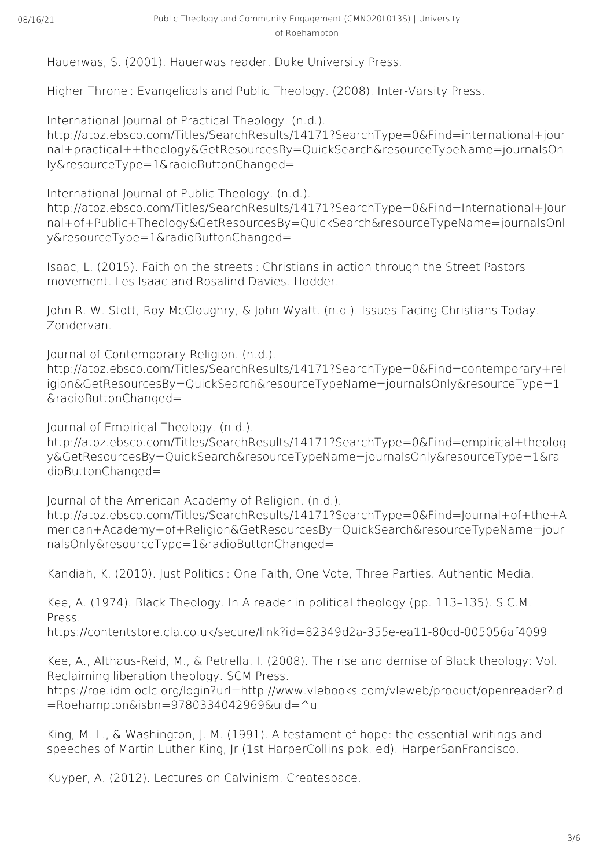Hauerwas, S. (2001). Hauerwas reader. Duke University Press.

Higher Throne : Evangelicals and Public Theology. (2008). Inter-Varsity Press.

International Journal of Practical Theology. (n.d.).

http://atoz.ebsco.com/Titles/SearchResults/14171?SearchType=0&Find=international+jour nal+practical++theology&GetResourcesBy=QuickSearch&resourceTypeName=journalsOn ly&resourceType=1&radioButtonChanged=

International Journal of Public Theology. (n.d.).

http://atoz.ebsco.com/Titles/SearchResults/14171?SearchType=0&Find=International+Jour nal+of+Public+Theology&GetResourcesBy=QuickSearch&resourceTypeName=journalsOnl y&resourceType=1&radioButtonChanged=

Isaac, L. (2015). Faith on the streets : Christians in action through the Street Pastors movement. Les Isaac and Rosalind Davies. Hodder.

John R. W. Stott, Roy McCloughry, & John Wyatt. (n.d.). Issues Facing Christians Today. Zondervan.

Journal of Contemporary Religion. (n.d.).

http://atoz.ebsco.com/Titles/SearchResults/14171?SearchType=0&Find=contemporary+rel igion&GetResourcesBy=QuickSearch&resourceTypeName=journalsOnly&resourceType=1 &radioButtonChanged=

Journal of Empirical Theology. (n.d.).

http://atoz.ebsco.com/Titles/SearchResults/14171?SearchType=0&Find=empirical+theolog y&GetResourcesBy=QuickSearch&resourceTypeName=journalsOnly&resourceType=1&ra dioButtonChanged=

Journal of the American Academy of Religion. (n.d.). http://atoz.ebsco.com/Titles/SearchResults/14171?SearchType=0&Find=Journal+of+the+A merican+Academy+of+Religion&GetResourcesBy=QuickSearch&resourceTypeName=jour nalsOnly&resourceType=1&radioButtonChanged=

Kandiah, K. (2010). Just Politics : One Faith, One Vote, Three Parties. Authentic Media.

Kee, A. (1974). Black Theology. In A reader in political theology (pp. 113–135). S.C.M. Press.

https://contentstore.cla.co.uk/secure/link?id=82349d2a-355e-ea11-80cd-005056af4099

Kee, A., Althaus-Reid, M., & Petrella, I. (2008). The rise and demise of Black theology: Vol. Reclaiming liberation theology. SCM Press.

https://roe.idm.oclc.org/login?url=http://www.vlebooks.com/vleweb/product/openreader?id =Roehampton&isbn=9780334042969&uid=^u

King, M. L., & Washington, J. M. (1991). A testament of hope: the essential writings and speeches of Martin Luther King, Jr (1st HarperCollins pbk. ed). HarperSanFrancisco.

Kuyper, A. (2012). Lectures on Calvinism. Createspace.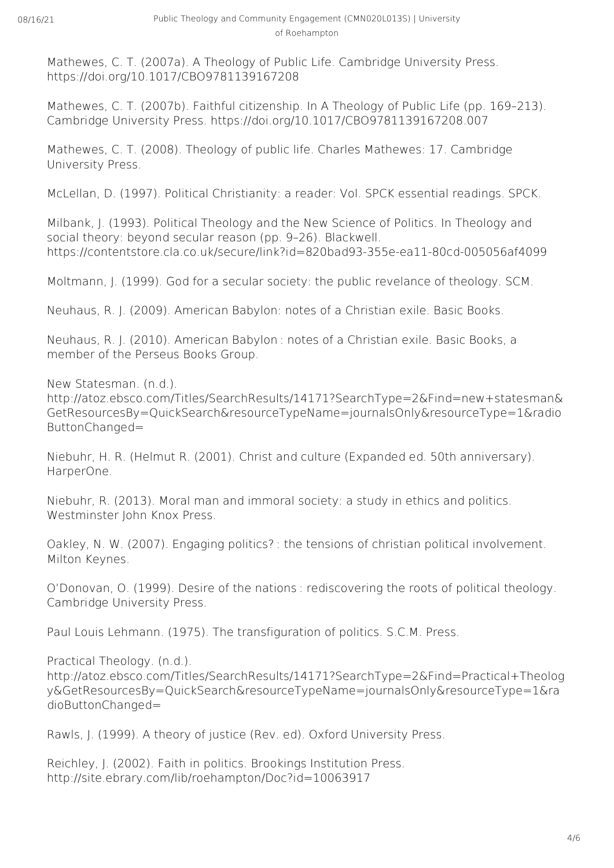Mathewes, C. T. (2007a). A Theology of Public Life. Cambridge University Press. https://doi.org/10.1017/CBO9781139167208

Mathewes, C. T. (2007b). Faithful citizenship. In A Theology of Public Life (pp. 169–213). Cambridge University Press. https://doi.org/10.1017/CBO9781139167208.007

Mathewes, C. T. (2008). Theology of public life. Charles Mathewes: 17. Cambridge University Press.

McLellan, D. (1997). Political Christianity: a reader: Vol. SPCK essential readings. SPCK.

Milbank, J. (1993). Political Theology and the New Science of Politics. In Theology and social theory: beyond secular reason (pp. 9–26). Blackwell. https://contentstore.cla.co.uk/secure/link?id=820bad93-355e-ea11-80cd-005056af4099

Moltmann, J. (1999). God for a secular society: the public revelance of theology. SCM.

Neuhaus, R. J. (2009). American Babylon: notes of a Christian exile. Basic Books.

Neuhaus, R. J. (2010). American Babylon : notes of a Christian exile. Basic Books, a member of the Perseus Books Group.

New Statesman. (n.d.).

http://atoz.ebsco.com/Titles/SearchResults/14171?SearchType=2&Find=new+statesman& GetResourcesBy=QuickSearch&resourceTypeName=journalsOnly&resourceType=1&radio ButtonChanged=

Niebuhr, H. R. (Helmut R. (2001). Christ and culture (Expanded ed. 50th anniversary). HarperOne.

Niebuhr, R. (2013). Moral man and immoral society: a study in ethics and politics. Westminster John Knox Press.

Oakley, N. W. (2007). Engaging politics? : the tensions of christian political involvement. Milton Keynes.

O'Donovan, O. (1999). Desire of the nations : rediscovering the roots of political theology. Cambridge University Press.

Paul Louis Lehmann. (1975). The transfiguration of politics. S.C.M. Press.

Practical Theology. (n.d.).

http://atoz.ebsco.com/Titles/SearchResults/14171?SearchType=2&Find=Practical+Theolog y&GetResourcesBy=QuickSearch&resourceTypeName=journalsOnly&resourceType=1&ra dioButtonChanged=

Rawls, J. (1999). A theory of justice (Rev. ed). Oxford University Press.

Reichley, J. (2002). Faith in politics. Brookings Institution Press. http://site.ebrary.com/lib/roehampton/Doc?id=10063917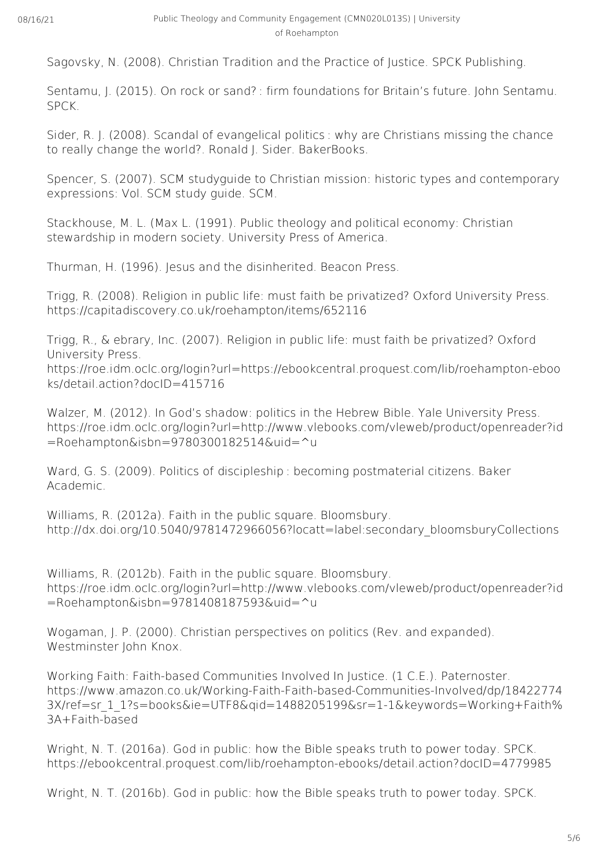Sagovsky, N. (2008). Christian Tradition and the Practice of Justice. SPCK Publishing.

Sentamu, J. (2015). On rock or sand? : firm foundations for Britain's future. John Sentamu. SPCK.

Sider, R. J. (2008). Scandal of evangelical politics : why are Christians missing the chance to really change the world?. Ronald J. Sider. BakerBooks.

Spencer, S. (2007). SCM studyguide to Christian mission: historic types and contemporary expressions: Vol. SCM study guide. SCM.

Stackhouse, M. L. (Max L. (1991). Public theology and political economy: Christian stewardship in modern society. University Press of America.

Thurman, H. (1996). Jesus and the disinherited. Beacon Press.

Trigg, R. (2008). Religion in public life: must faith be privatized? Oxford University Press. https://capitadiscovery.co.uk/roehampton/items/652116

Trigg, R., & ebrary, Inc. (2007). Religion in public life: must faith be privatized? Oxford University Press.

https://roe.idm.oclc.org/login?url=https://ebookcentral.proquest.com/lib/roehampton-eboo ks/detail.action?docID=415716

Walzer, M. (2012). In God's shadow: politics in the Hebrew Bible. Yale University Press. https://roe.idm.oclc.org/login?url=http://www.vlebooks.com/vleweb/product/openreader?id  $=$ Roehampton&isbn=9780300182514&uid= $\text{u}$ 

Ward, G. S. (2009). Politics of discipleship : becoming postmaterial citizens. Baker Academic.

Williams, R. (2012a). Faith in the public square. Bloomsbury. http://dx.doi.org/10.5040/9781472966056?locatt=label:secondary\_bloomsburyCollections

Williams, R. (2012b). Faith in the public square. Bloomsbury. https://roe.idm.oclc.org/login?url=http://www.vlebooks.com/vleweb/product/openreader?id =Roehampton&isbn=9781408187593&uid=^u

Wogaman, J. P. (2000). Christian perspectives on politics (Rev. and expanded). Westminster John Knox.

Working Faith: Faith-based Communities Involved In Justice. (1 C.E.). Paternoster. https://www.amazon.co.uk/Working-Faith-Faith-based-Communities-Involved/dp/18422774 3X/ref=sr\_1\_1?s=books&ie=UTF8&gid=1488205199&sr=1-1&keywords=Working+Faith% 3A+Faith-based

Wright, N. T. (2016a). God in public: how the Bible speaks truth to power today. SPCK. https://ebookcentral.proquest.com/lib/roehampton-ebooks/detail.action?docID=4779985

Wright, N. T. (2016b). God in public: how the Bible speaks truth to power today. SPCK.